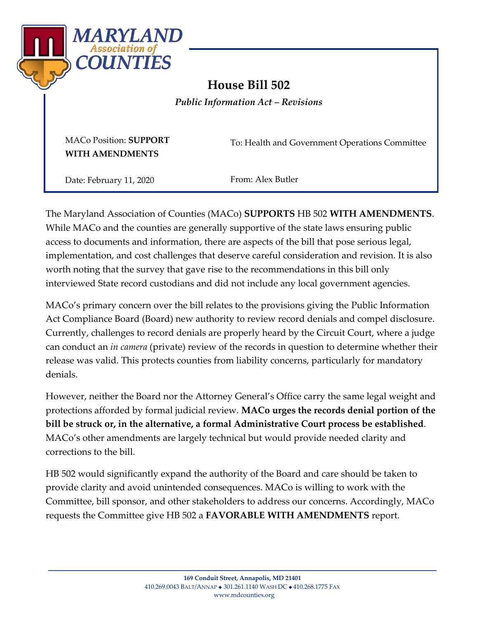

# **House Bill 502**

*Public Information Act – Revisions*

MACo Position: **SUPPORT WITH AMENDMENTS**

To: Health and Government Operations Committee

Date: February 11, 2020

From: Alex Butler

The Maryland Association of Counties (MACo) **SUPPORTS** HB 502 **WITH AMENDMENTS**. While MACo and the counties are generally supportive of the state laws ensuring public access to documents and information, there are aspects of the bill that pose serious legal, implementation, and cost challenges that deserve careful consideration and revision. It is also worth noting that the survey that gave rise to the recommendations in this bill only interviewed State record custodians and did not include any local government agencies.

MACo's primary concern over the bill relates to the provisions giving the Public Information Act Compliance Board (Board) new authority to review record denials and compel disclosure. Currently, challenges to record denials are properly heard by the Circuit Court, where a judge can conduct an *in camera* (private) review of the records in question to determine whether their release was valid. This protects counties from liability concerns, particularly for mandatory denials.

However, neither the Board nor the Attorney General's Office carry the same legal weight and protections afforded by formal judicial review. **MACo urges the records denial portion of the bill be struck or, in the alternative, a formal Administrative Court process be established**. MACo's other amendments are largely technical but would provide needed clarity and corrections to the bill.

HB 502 would significantly expand the authority of the Board and care should be taken to provide clarity and avoid unintended consequences. MACo is willing to work with the Committee, bill sponsor, and other stakeholders to address our concerns. Accordingly, MACo requests the Committee give HB 502 a **FAVORABLE WITH AMENDMENTS** report.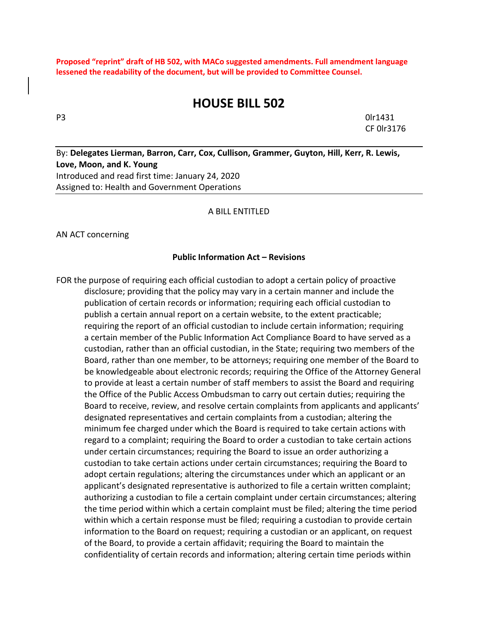**Proposed "reprint" draft of HB 502, with MACo suggested amendments. Full amendment language lessened the readability of the document, but will be provided to Committee Counsel.**

## **HOUSE BILL 502**

P3 0lr1431 CF 0lr3176

By: **Delegates Lierman, Barron, Carr, Cox, Cullison, Grammer, Guyton, Hill, Kerr, R. Lewis, Love, Moon, and K. Young** Introduced and read first time: January 24, 2020 Assigned to: Health and Government Operations

#### A BILL ENTITLED

AN ACT concerning

#### **Public Information Act – Revisions**

FOR the purpose of requiring each official custodian to adopt a certain policy of proactive disclosure; providing that the policy may vary in a certain manner and include the publication of certain records or information; requiring each official custodian to publish a certain annual report on a certain website, to the extent practicable; requiring the report of an official custodian to include certain information; requiring a certain member of the Public Information Act Compliance Board to have served as a custodian, rather than an official custodian, in the State; requiring two members of the Board, rather than one member, to be attorneys; requiring one member of the Board to be knowledgeable about electronic records; requiring the Office of the Attorney General to provide at least a certain number of staff members to assist the Board and requiring the Office of the Public Access Ombudsman to carry out certain duties; requiring the Board to receive, review, and resolve certain complaints from applicants and applicants' designated representatives and certain complaints from a custodian; altering the minimum fee charged under which the Board is required to take certain actions with regard to a complaint; requiring the Board to order a custodian to take certain actions under certain circumstances; requiring the Board to issue an order authorizing a custodian to take certain actions under certain circumstances; requiring the Board to adopt certain regulations; altering the circumstances under which an applicant or an applicant's designated representative is authorized to file a certain written complaint; authorizing a custodian to file a certain complaint under certain circumstances; altering the time period within which a certain complaint must be filed; altering the time period within which a certain response must be filed; requiring a custodian to provide certain information to the Board on request; requiring a custodian or an applicant, on request of the Board, to provide a certain affidavit; requiring the Board to maintain the confidentiality of certain records and information; altering certain time periods within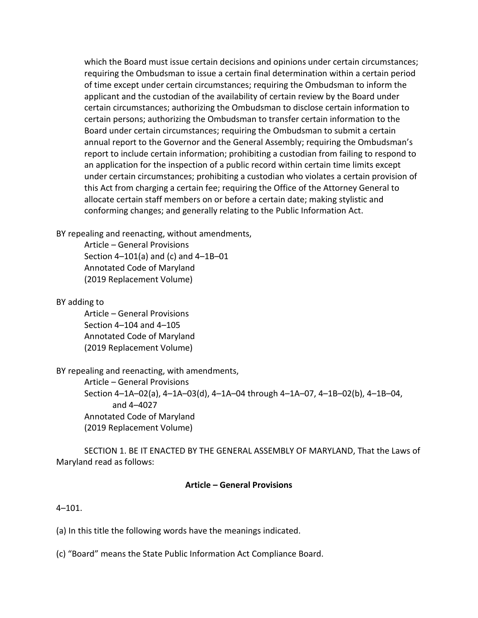which the Board must issue certain decisions and opinions under certain circumstances; requiring the Ombudsman to issue a certain final determination within a certain period of time except under certain circumstances; requiring the Ombudsman to inform the applicant and the custodian of the availability of certain review by the Board under certain circumstances; authorizing the Ombudsman to disclose certain information to certain persons; authorizing the Ombudsman to transfer certain information to the Board under certain circumstances; requiring the Ombudsman to submit a certain annual report to the Governor and the General Assembly; requiring the Ombudsman's report to include certain information; prohibiting a custodian from failing to respond to an application for the inspection of a public record within certain time limits except under certain circumstances; prohibiting a custodian who violates a certain provision of this Act from charging a certain fee; requiring the Office of the Attorney General to allocate certain staff members on or before a certain date; making stylistic and conforming changes; and generally relating to the Public Information Act.

BY repealing and reenacting, without amendments,

Article – General Provisions Section 4–101(a) and (c) and 4–1B–01 Annotated Code of Maryland (2019 Replacement Volume)

BY adding to

Article – General Provisions Section 4–104 and 4–105 Annotated Code of Maryland (2019 Replacement Volume)

BY repealing and reenacting, with amendments, Article – General Provisions Section 4–1A–02(a), 4–1A–03(d), 4–1A–04 through 4–1A–07, 4–1B–02(b), 4–1B–04, and 4–4027 Annotated Code of Maryland (2019 Replacement Volume)

SECTION 1. BE IT ENACTED BY THE GENERAL ASSEMBLY OF MARYLAND, That the Laws of Maryland read as follows:

#### **Article – General Provisions**

 $4 - 101$ .

(a) In this title the following words have the meanings indicated.

(c) "Board" means the State Public Information Act Compliance Board.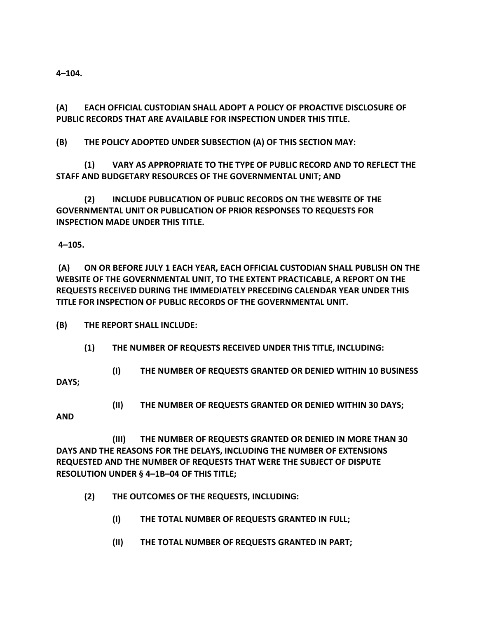**4–104.**

**(A) EACH OFFICIAL CUSTODIAN SHALL ADOPT A POLICY OF PROACTIVE DISCLOSURE OF PUBLIC RECORDS THAT ARE AVAILABLE FOR INSPECTION UNDER THIS TITLE.**

**(B) THE POLICY ADOPTED UNDER SUBSECTION (A) OF THIS SECTION MAY:**

**(1) VARY AS APPROPRIATE TO THE TYPE OF PUBLIC RECORD AND TO REFLECT THE STAFF AND BUDGETARY RESOURCES OF THE GOVERNMENTAL UNIT; AND**

**(2) INCLUDE PUBLICATION OF PUBLIC RECORDS ON THE WEBSITE OF THE GOVERNMENTAL UNIT OR PUBLICATION OF PRIOR RESPONSES TO REQUESTS FOR INSPECTION MADE UNDER THIS TITLE.**

**4–105.**

**(A) ON OR BEFORE JULY 1 EACH YEAR, EACH OFFICIAL CUSTODIAN SHALL PUBLISH ON THE WEBSITE OF THE GOVERNMENTAL UNIT, TO THE EXTENT PRACTICABLE, A REPORT ON THE REQUESTS RECEIVED DURING THE IMMEDIATELY PRECEDING CALENDAR YEAR UNDER THIS TITLE FOR INSPECTION OF PUBLIC RECORDS OF THE GOVERNMENTAL UNIT.**

**(B) THE REPORT SHALL INCLUDE:** 

**(1) THE NUMBER OF REQUESTS RECEIVED UNDER THIS TITLE, INCLUDING:**

**(I) THE NUMBER OF REQUESTS GRANTED OR DENIED WITHIN 10 BUSINESS** 

**DAYS;**

**(II) THE NUMBER OF REQUESTS GRANTED OR DENIED WITHIN 30 DAYS;**

**AND** 

**(III) THE NUMBER OF REQUESTS GRANTED OR DENIED IN MORE THAN 30 DAYS AND THE REASONS FOR THE DELAYS, INCLUDING THE NUMBER OF EXTENSIONS REQUESTED AND THE NUMBER OF REQUESTS THAT WERE THE SUBJECT OF DISPUTE RESOLUTION UNDER § 4–1B–04 OF THIS TITLE;**

- **(2) THE OUTCOMES OF THE REQUESTS, INCLUDING:**
	- **(I) THE TOTAL NUMBER OF REQUESTS GRANTED IN FULL;**
	- **(II) THE TOTAL NUMBER OF REQUESTS GRANTED IN PART;**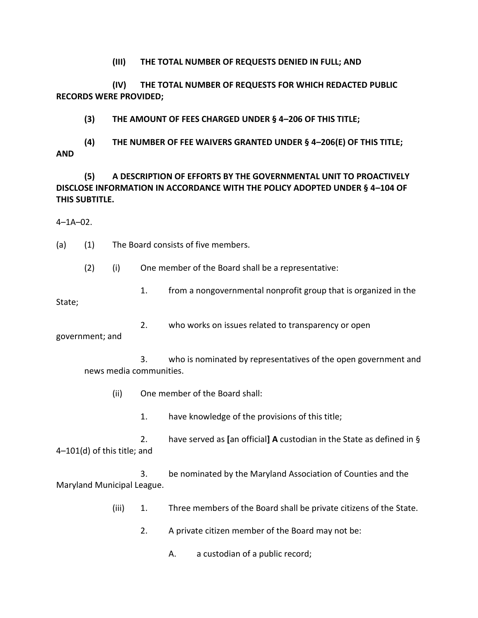**(III) THE TOTAL NUMBER OF REQUESTS DENIED IN FULL; AND**

**(IV) THE TOTAL NUMBER OF REQUESTS FOR WHICH REDACTED PUBLIC RECORDS WERE PROVIDED;** 

**(3) THE AMOUNT OF FEES CHARGED UNDER § 4–206 OF THIS TITLE;**

**(4) THE NUMBER OF FEE WAIVERS GRANTED UNDER § 4–206(E) OF THIS TITLE; AND**

**(5) A DESCRIPTION OF EFFORTS BY THE GOVERNMENTAL UNIT TO PROACTIVELY DISCLOSE INFORMATION IN ACCORDANCE WITH THE POLICY ADOPTED UNDER § 4–104 OF THIS SUBTITLE.**

4–1A–02.

(a) (1) The Board consists of five members.

(2) (i) One member of the Board shall be a representative:

1. from a nongovernmental nonprofit group that is organized in the

State;

2. who works on issues related to transparency or open

government; and

3. who is nominated by representatives of the open government and news media communities.

- (ii) One member of the Board shall:
	- 1. have knowledge of the provisions of this title;

2. have served as **[**an official**] A** custodian in the State as defined in § 4–101(d) of this title; and

3. be nominated by the Maryland Association of Counties and the Maryland Municipal League.

- (iii) 1. Three members of the Board shall be private citizens of the State.
	- 2. A private citizen member of the Board may not be:

A. a custodian of a public record;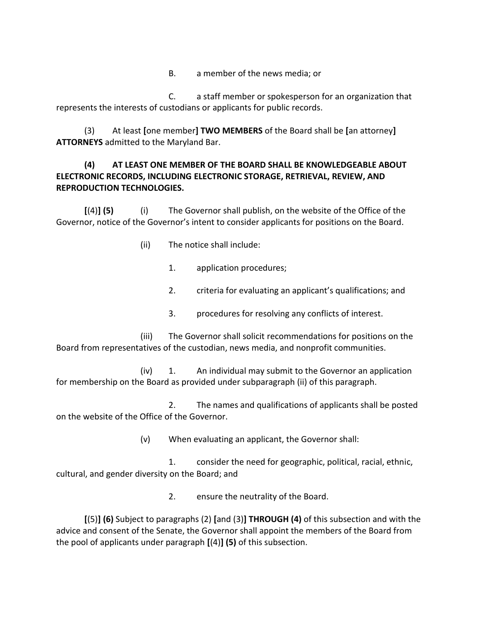B. a member of the news media; or

C. a staff member or spokesperson for an organization that represents the interests of custodians or applicants for public records.

(3) At least **[**one member**] TWO MEMBERS** of the Board shall be **[**an attorney**] ATTORNEYS** admitted to the Maryland Bar.

### **(4) AT LEAST ONE MEMBER OF THE BOARD SHALL BE KNOWLEDGEABLE ABOUT ELECTRONIC RECORDS, INCLUDING ELECTRONIC STORAGE, RETRIEVAL, REVIEW, AND REPRODUCTION TECHNOLOGIES.**

**[**(4)**] (5)** (i) The Governor shall publish, on the website of the Office of the Governor, notice of the Governor's intent to consider applicants for positions on the Board.

- (ii) The notice shall include:
	- 1. application procedures;
	- 2. criteria for evaluating an applicant's qualifications; and
	- 3. procedures for resolving any conflicts of interest.

(iii) The Governor shall solicit recommendations for positions on the Board from representatives of the custodian, news media, and nonprofit communities.

(iv) 1. An individual may submit to the Governor an application for membership on the Board as provided under subparagraph (ii) of this paragraph.

2. The names and qualifications of applicants shall be posted on the website of the Office of the Governor.

(v) When evaluating an applicant, the Governor shall:

1. consider the need for geographic, political, racial, ethnic, cultural, and gender diversity on the Board; and

2. ensure the neutrality of the Board.

**[**(5)**] (6)** Subject to paragraphs (2) **[**and (3)**] THROUGH (4)** of this subsection and with the advice and consent of the Senate, the Governor shall appoint the members of the Board from the pool of applicants under paragraph **[**(4)**] (5)** of this subsection.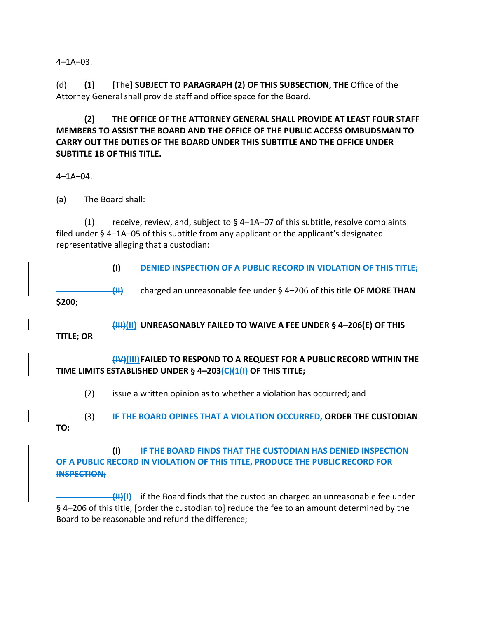$4 - 1A - 03$ .

(d) **(1) [**The**] SUBJECT TO PARAGRAPH (2) OF THIS SUBSECTION, THE** Office of the Attorney General shall provide staff and office space for the Board.

**(2) THE OFFICE OF THE ATTORNEY GENERAL SHALL PROVIDE AT LEAST FOUR STAFF MEMBERS TO ASSIST THE BOARD AND THE OFFICE OF THE PUBLIC ACCESS OMBUDSMAN TO CARRY OUT THE DUTIES OF THE BOARD UNDER THIS SUBTITLE AND THE OFFICE UNDER SUBTITLE 1B OF THIS TITLE.**

4–1A–04.

(a) The Board shall:

(1) receive, review, and, subject to  $\S$  4–1A–07 of this subtitle, resolve complaints filed under § 4–1A–05 of this subtitle from any applicant or the applicant's designated representative alleging that a custodian:

**(I) DENIED INSPECTION OF A PUBLIC RECORD IN VIOLATION OF THIS TITLE;** 

**(II)** charged an unreasonable fee under § 4–206 of this title **OF MORE THAN \$200**;

**(III)(II) UNREASONABLY FAILED TO WAIVE A FEE UNDER § 4–206(E) OF THIS** 

**TITLE; OR**

**(IV)(III)FAILED TO RESPOND TO A REQUEST FOR A PUBLIC RECORD WITHIN THE TIME LIMITS ESTABLISHED UNDER § 4–203(C)(1(I) OF THIS TITLE;**

(2) issue a written opinion as to whether a violation has occurred; and

(3) **IF THE BOARD OPINES THAT A VIOLATION OCCURRED, ORDER THE CUSTODIAN TO:**

**(I) IF THE BOARD FINDS THAT THE CUSTODIAN HAS DENIED INSPECTION OF A PUBLIC RECORD IN VIOLATION OF THIS TITLE, PRODUCE THE PUBLIC RECORD FOR INSPECTION;** 

**(II)(I)** if the Board finds that the custodian charged an unreasonable fee under § 4–206 of this title, [order the custodian to] reduce the fee to an amount determined by the Board to be reasonable and refund the difference;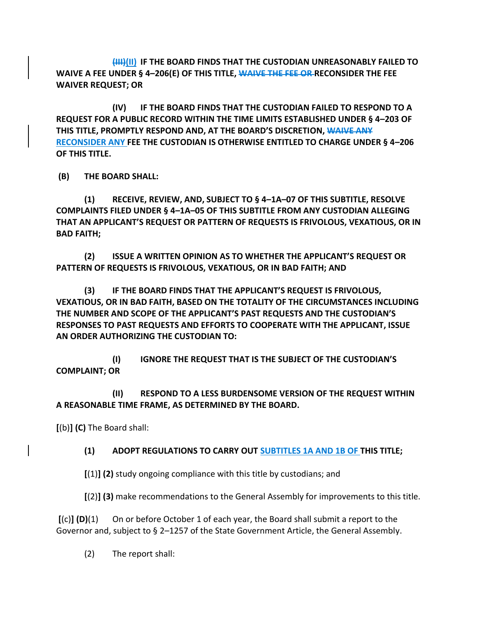**(III)(II) IF THE BOARD FINDS THAT THE CUSTODIAN UNREASONABLY FAILED TO WAIVE A FEE UNDER § 4–206(E) OF THIS TITLE, WAIVE THE FEE OR RECONSIDER THE FEE WAIVER REQUEST; OR**

**(IV) IF THE BOARD FINDS THAT THE CUSTODIAN FAILED TO RESPOND TO A REQUEST FOR A PUBLIC RECORD WITHIN THE TIME LIMITS ESTABLISHED UNDER § 4–203 OF THIS TITLE, PROMPTLY RESPOND AND, AT THE BOARD'S DISCRETION, WAIVE ANY RECONSIDER ANY FEE THE CUSTODIAN IS OTHERWISE ENTITLED TO CHARGE UNDER § 4–206 OF THIS TITLE.**

**(B) THE BOARD SHALL:**

**(1) RECEIVE, REVIEW, AND, SUBJECT TO § 4–1A–07 OF THIS SUBTITLE, RESOLVE COMPLAINTS FILED UNDER § 4–1A–05 OF THIS SUBTITLE FROM ANY CUSTODIAN ALLEGING THAT AN APPLICANT'S REQUEST OR PATTERN OF REQUESTS IS FRIVOLOUS, VEXATIOUS, OR IN BAD FAITH;**

**(2) ISSUE A WRITTEN OPINION AS TO WHETHER THE APPLICANT'S REQUEST OR PATTERN OF REQUESTS IS FRIVOLOUS, VEXATIOUS, OR IN BAD FAITH; AND** 

**(3) IF THE BOARD FINDS THAT THE APPLICANT'S REQUEST IS FRIVOLOUS, VEXATIOUS, OR IN BAD FAITH, BASED ON THE TOTALITY OF THE CIRCUMSTANCES INCLUDING THE NUMBER AND SCOPE OF THE APPLICANT'S PAST REQUESTS AND THE CUSTODIAN'S RESPONSES TO PAST REQUESTS AND EFFORTS TO COOPERATE WITH THE APPLICANT, ISSUE AN ORDER AUTHORIZING THE CUSTODIAN TO:**

**(I) IGNORE THE REQUEST THAT IS THE SUBJECT OF THE CUSTODIAN'S COMPLAINT; OR**

**(II) RESPOND TO A LESS BURDENSOME VERSION OF THE REQUEST WITHIN A REASONABLE TIME FRAME, AS DETERMINED BY THE BOARD.**

**[**(b)**] (C)** The Board shall:

#### **(1) ADOPT REGULATIONS TO CARRY OUT SUBTITLES 1A AND 1B OF THIS TITLE;**

**[**(1)**] (2)** study ongoing compliance with this title by custodians; and

**[**(2)**] (3)** make recommendations to the General Assembly for improvements to this title.

**[**(c)**] (D)**(1) On or before October 1 of each year, the Board shall submit a report to the Governor and, subject to § 2–1257 of the State Government Article, the General Assembly.

(2) The report shall: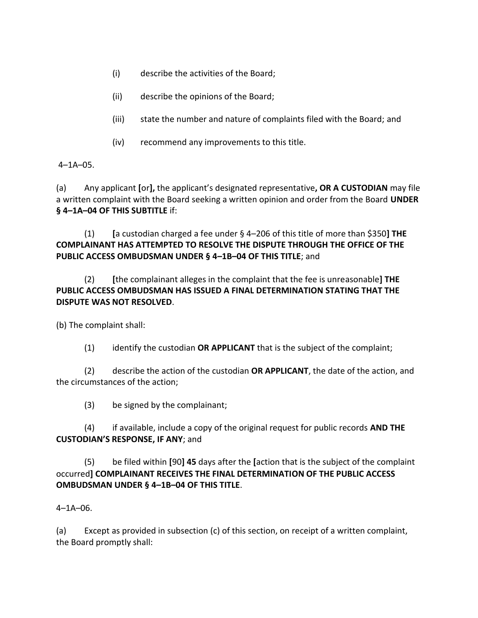- (i) describe the activities of the Board;
- (ii) describe the opinions of the Board;
- (iii) state the number and nature of complaints filed with the Board; and
- (iv) recommend any improvements to this title.

 $4 - 1A - 05$ .

(a) Any applicant **[**or**],** the applicant's designated representative**, OR A CUSTODIAN** may file a written complaint with the Board seeking a written opinion and order from the Board **UNDER § 4–1A–04 OF THIS SUBTITLE** if:

(1) **[**a custodian charged a fee under § 4–206 of this title of more than \$350**] THE COMPLAINANT HAS ATTEMPTED TO RESOLVE THE DISPUTE THROUGH THE OFFICE OF THE PUBLIC ACCESS OMBUDSMAN UNDER § 4–1B–04 OF THIS TITLE**; and

(2) **[**the complainant alleges in the complaint that the fee is unreasonable**] THE PUBLIC ACCESS OMBUDSMAN HAS ISSUED A FINAL DETERMINATION STATING THAT THE DISPUTE WAS NOT RESOLVED**.

(b) The complaint shall:

(1) identify the custodian **OR APPLICANT** that is the subject of the complaint;

(2) describe the action of the custodian **OR APPLICANT**, the date of the action, and the circumstances of the action;

(3) be signed by the complainant;

(4) if available, include a copy of the original request for public records **AND THE CUSTODIAN'S RESPONSE, IF ANY**; and

(5) be filed within **[**90**] 45** days after the **[**action that is the subject of the complaint occurred**] COMPLAINANT RECEIVES THE FINAL DETERMINATION OF THE PUBLIC ACCESS OMBUDSMAN UNDER § 4–1B–04 OF THIS TITLE**.

## 4–1A–06.

(a) Except as provided in subsection (c) of this section, on receipt of a written complaint, the Board promptly shall: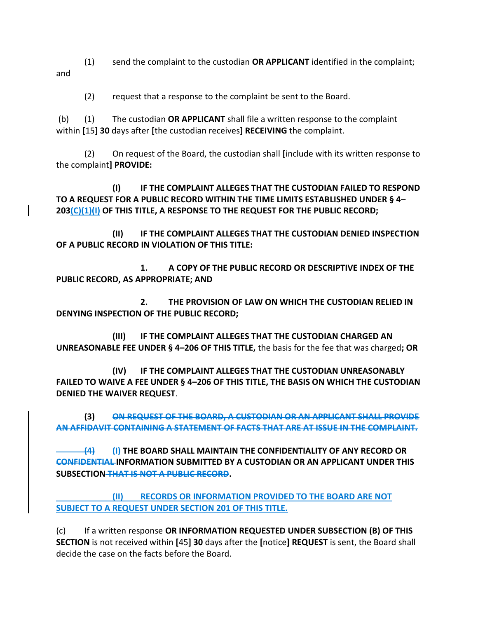(1) send the complaint to the custodian **OR APPLICANT** identified in the complaint; and

(2) request that a response to the complaint be sent to the Board.

(b) (1) The custodian **OR APPLICANT** shall file a written response to the complaint within **[**15**] 30** days after **[**the custodian receives**] RECEIVING** the complaint.

(2) On request of the Board, the custodian shall **[**include with its written response to the complaint**] PROVIDE:**

**(I) IF THE COMPLAINT ALLEGES THAT THE CUSTODIAN FAILED TO RESPOND TO A REQUEST FOR A PUBLIC RECORD WITHIN THE TIME LIMITS ESTABLISHED UNDER § 4– 203(C)(1)(I) OF THIS TITLE, A RESPONSE TO THE REQUEST FOR THE PUBLIC RECORD;**

**(II) IF THE COMPLAINT ALLEGES THAT THE CUSTODIAN DENIED INSPECTION OF A PUBLIC RECORD IN VIOLATION OF THIS TITLE:**

**1. A COPY OF THE PUBLIC RECORD OR DESCRIPTIVE INDEX OF THE PUBLIC RECORD, AS APPROPRIATE; AND** 

**2. THE PROVISION OF LAW ON WHICH THE CUSTODIAN RELIED IN DENYING INSPECTION OF THE PUBLIC RECORD;** 

**(III) IF THE COMPLAINT ALLEGES THAT THE CUSTODIAN CHARGED AN UNREASONABLE FEE UNDER § 4–206 OF THIS TITLE,** the basis for the fee that was charged**; OR**

**(IV) IF THE COMPLAINT ALLEGES THAT THE CUSTODIAN UNREASONABLY FAILED TO WAIVE A FEE UNDER § 4–206 OF THIS TITLE, THE BASIS ON WHICH THE CUSTODIAN DENIED THE WAIVER REQUEST**.

**(3) ON REQUEST OF THE BOARD, A CUSTODIAN OR AN APPLICANT SHALL PROVIDE AN AFFIDAVIT CONTAINING A STATEMENT OF FACTS THAT ARE AT ISSUE IN THE COMPLAINT.**

**(4) (I) THE BOARD SHALL MAINTAIN THE CONFIDENTIALITY OF ANY RECORD OR CONFIDENTIAL INFORMATION SUBMITTED BY A CUSTODIAN OR AN APPLICANT UNDER THIS SUBSECTION THAT IS NOT A PUBLIC RECORD.**

**(II) RECORDS OR INFORMATION PROVIDED TO THE BOARD ARE NOT SUBJECT TO A REQUEST UNDER SECTION 201 OF THIS TITLE.**

(c) If a written response **OR INFORMATION REQUESTED UNDER SUBSECTION (B) OF THIS SECTION** is not received within **[**45**] 30** days after the **[**notice**] REQUEST** is sent, the Board shall decide the case on the facts before the Board.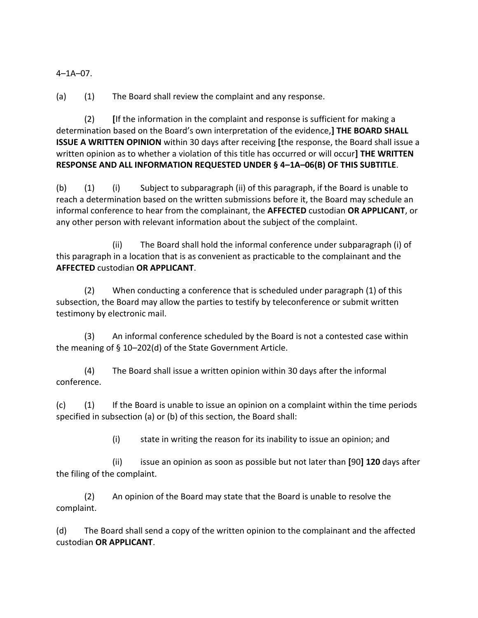4–1A–07.

(a) (1) The Board shall review the complaint and any response.

(2) **[**If the information in the complaint and response is sufficient for making a determination based on the Board's own interpretation of the evidence,**] THE BOARD SHALL ISSUE A WRITTEN OPINION** within 30 days after receiving **[**the response, the Board shall issue a written opinion as to whether a violation of this title has occurred or will occur**] THE WRITTEN RESPONSE AND ALL INFORMATION REQUESTED UNDER § 4–1A–06(B) OF THIS SUBTITLE**.

(b) (1) (i) Subject to subparagraph (ii) of this paragraph, if the Board is unable to reach a determination based on the written submissions before it, the Board may schedule an informal conference to hear from the complainant, the **AFFECTED** custodian **OR APPLICANT**, or any other person with relevant information about the subject of the complaint.

(ii) The Board shall hold the informal conference under subparagraph (i) of this paragraph in a location that is as convenient as practicable to the complainant and the **AFFECTED** custodian **OR APPLICANT**.

(2) When conducting a conference that is scheduled under paragraph (1) of this subsection, the Board may allow the parties to testify by teleconference or submit written testimony by electronic mail.

(3) An informal conference scheduled by the Board is not a contested case within the meaning of § 10–202(d) of the State Government Article.

(4) The Board shall issue a written opinion within 30 days after the informal conference.

(c) (1) If the Board is unable to issue an opinion on a complaint within the time periods specified in subsection (a) or (b) of this section, the Board shall:

(i) state in writing the reason for its inability to issue an opinion; and

(ii) issue an opinion as soon as possible but not later than **[**90**] 120** days after the filing of the complaint.

(2) An opinion of the Board may state that the Board is unable to resolve the complaint.

(d) The Board shall send a copy of the written opinion to the complainant and the affected custodian **OR APPLICANT**.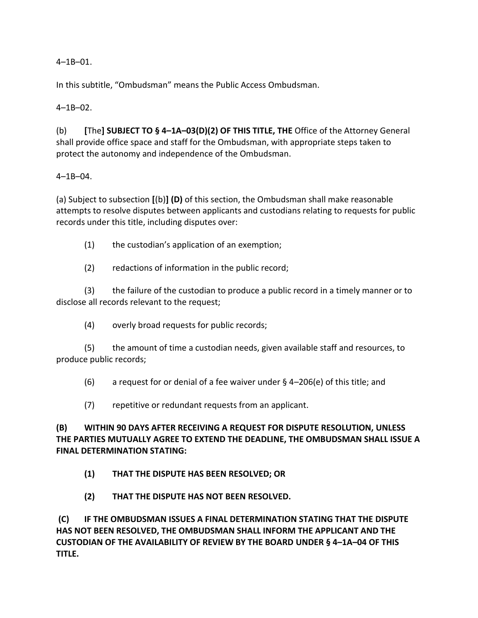$4 - 1B - 01$ .

In this subtitle, "Ombudsman" means the Public Access Ombudsman.

4–1B–02.

(b) **[**The**] SUBJECT TO § 4–1A–03(D)(2) OF THIS TITLE, THE** Office of the Attorney General shall provide office space and staff for the Ombudsman, with appropriate steps taken to protect the autonomy and independence of the Ombudsman.

#### 4–1B–04.

(a) Subject to subsection **[**(b)**] (D)** of this section, the Ombudsman shall make reasonable attempts to resolve disputes between applicants and custodians relating to requests for public records under this title, including disputes over:

(1) the custodian's application of an exemption;

(2) redactions of information in the public record;

(3) the failure of the custodian to produce a public record in a timely manner or to disclose all records relevant to the request;

(4) overly broad requests for public records;

(5) the amount of time a custodian needs, given available staff and resources, to produce public records;

(6) a request for or denial of a fee waiver under § 4–206(e) of this title; and

(7) repetitive or redundant requests from an applicant.

## **(B) WITHIN 90 DAYS AFTER RECEIVING A REQUEST FOR DISPUTE RESOLUTION, UNLESS THE PARTIES MUTUALLY AGREE TO EXTEND THE DEADLINE, THE OMBUDSMAN SHALL ISSUE A FINAL DETERMINATION STATING:**

- **(1) THAT THE DISPUTE HAS BEEN RESOLVED; OR**
- **(2) THAT THE DISPUTE HAS NOT BEEN RESOLVED.**

**(C) IF THE OMBUDSMAN ISSUES A FINAL DETERMINATION STATING THAT THE DISPUTE HAS NOT BEEN RESOLVED, THE OMBUDSMAN SHALL INFORM THE APPLICANT AND THE CUSTODIAN OF THE AVAILABILITY OF REVIEW BY THE BOARD UNDER § 4–1A–04 OF THIS TITLE.**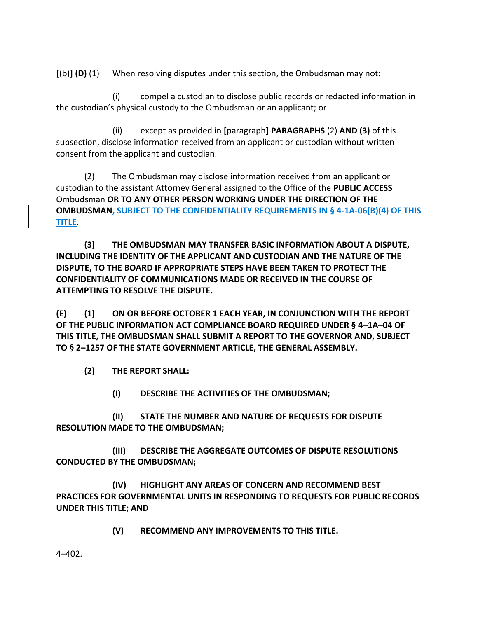**[**(b)**] (D)** (1) When resolving disputes under this section, the Ombudsman may not:

(i) compel a custodian to disclose public records or redacted information in the custodian's physical custody to the Ombudsman or an applicant; or

(ii) except as provided in **[**paragraph**] PARAGRAPHS** (2) **AND (3)** of this subsection, disclose information received from an applicant or custodian without written consent from the applicant and custodian.

(2) The Ombudsman may disclose information received from an applicant or custodian to the assistant Attorney General assigned to the Office of the **PUBLIC ACCESS** Ombudsman **OR TO ANY OTHER PERSON WORKING UNDER THE DIRECTION OF THE OMBUDSMAN, SUBJECT TO THE CONFIDENTIALITY REQUIREMENTS IN § 4-1A-06(B)(4) OF THIS TITLE**.

**(3) THE OMBUDSMAN MAY TRANSFER BASIC INFORMATION ABOUT A DISPUTE, INCLUDING THE IDENTITY OF THE APPLICANT AND CUSTODIAN AND THE NATURE OF THE DISPUTE, TO THE BOARD IF APPROPRIATE STEPS HAVE BEEN TAKEN TO PROTECT THE CONFIDENTIALITY OF COMMUNICATIONS MADE OR RECEIVED IN THE COURSE OF ATTEMPTING TO RESOLVE THE DISPUTE.** 

**(E) (1) ON OR BEFORE OCTOBER 1 EACH YEAR, IN CONJUNCTION WITH THE REPORT OF THE PUBLIC INFORMATION ACT COMPLIANCE BOARD REQUIRED UNDER § 4–1A–04 OF THIS TITLE, THE OMBUDSMAN SHALL SUBMIT A REPORT TO THE GOVERNOR AND, SUBJECT TO § 2–1257 OF THE STATE GOVERNMENT ARTICLE, THE GENERAL ASSEMBLY.**

**(2) THE REPORT SHALL:**

**(I) DESCRIBE THE ACTIVITIES OF THE OMBUDSMAN;**

**(II) STATE THE NUMBER AND NATURE OF REQUESTS FOR DISPUTE RESOLUTION MADE TO THE OMBUDSMAN;**

**(III) DESCRIBE THE AGGREGATE OUTCOMES OF DISPUTE RESOLUTIONS CONDUCTED BY THE OMBUDSMAN;**

**(IV) HIGHLIGHT ANY AREAS OF CONCERN AND RECOMMEND BEST PRACTICES FOR GOVERNMENTAL UNITS IN RESPONDING TO REQUESTS FOR PUBLIC RECORDS UNDER THIS TITLE; AND** 

**(V) RECOMMEND ANY IMPROVEMENTS TO THIS TITLE.**

4–402.